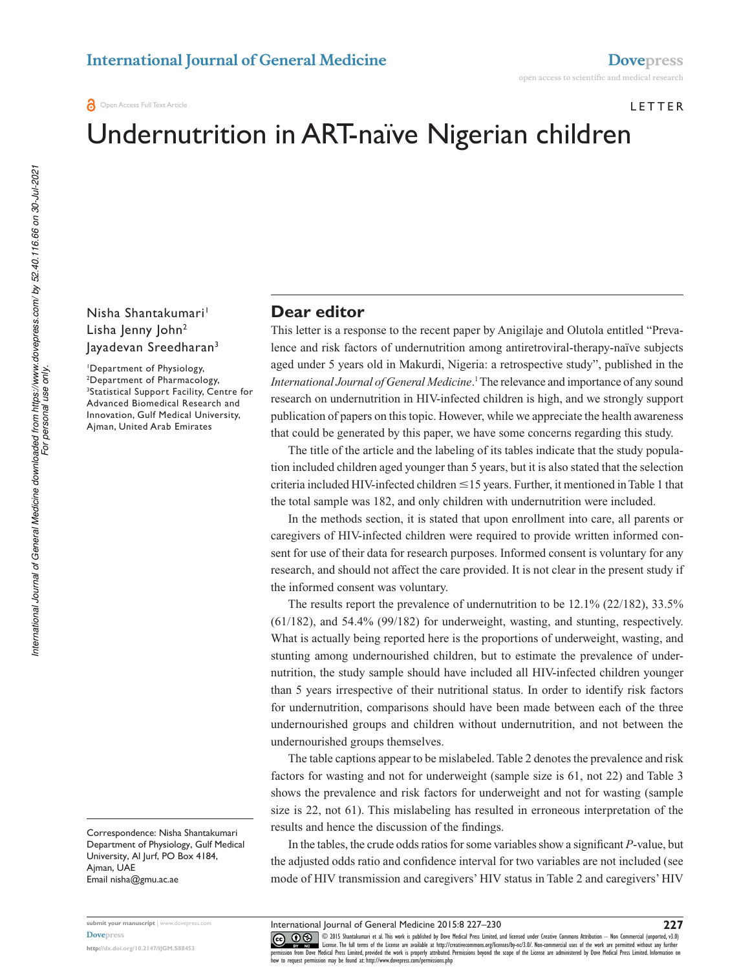#### LETTER

# Undernutrition in ART-naïve Nigerian children

#### Nisha Shantakumari<sup>1</sup> Lisha Jenny John<sup>2</sup> Jayadevan Sreedharan<sup>3</sup>

<sup>1</sup>Department of Physiology, <sup>2</sup>Department of Pharmacology, <sup>3</sup>Statistical Support Facility, Centre for Advanced Biomedical Research and Innovation, Gulf Medical University, Ajman, United Arab Emirates

Correspondence: Nisha Shantakumari Department of Physiology, Gulf Medical University, Al Jurf, PO Box 4184, Ajman, UAe email nisha@gmu.ac.ae

**submit your manuscript** | www.dovepress.com **Dovepress** 

**http://dx.doi.org/10.2147/IJGM.S88453**

# **Dear editor**

This letter is a response to the recent paper by Anigilaje and Olutola entitled "Prevalence and risk factors of undernutrition among antiretroviral-therapy-naïve subjects aged under 5 years old in Makurdi, Nigeria: a retrospective study", published in the *International Journal of General Medicine*. 1 The relevance and importance of any sound research on undernutrition in HIV-infected children is high, and we strongly support publication of papers on this topic. However, while we appreciate the health awareness that could be generated by this paper, we have some concerns regarding this study.

The title of the article and the labeling of its tables indicate that the study population included children aged younger than 5 years, but it is also stated that the selection criteria included HIV-infected children  $\leq$  15 years. Further, it mentioned in Table 1 that the total sample was 182, and only children with undernutrition were included.

In the methods section, it is stated that upon enrollment into care, all parents or caregivers of HIV-infected children were required to provide written informed consent for use of their data for research purposes. Informed consent is voluntary for any research, and should not affect the care provided. It is not clear in the present study if the informed consent was voluntary.

The results report the prevalence of undernutrition to be 12.1% (22/182), 33.5% (61/182), and 54.4% (99/182) for underweight, wasting, and stunting, respectively. What is actually being reported here is the proportions of underweight, wasting, and stunting among undernourished children, but to estimate the prevalence of undernutrition, the study sample should have included all HIV-infected children younger than 5 years irrespective of their nutritional status. In order to identify risk factors for undernutrition, comparisons should have been made between each of the three undernourished groups and children without undernutrition, and not between the undernourished groups themselves.

The table captions appear to be mislabeled. Table 2 denotes the prevalence and risk factors for wasting and not for underweight (sample size is 61, not 22) and Table 3 shows the prevalence and risk factors for underweight and not for wasting (sample size is 22, not 61). This mislabeling has resulted in erroneous interpretation of the results and hence the discussion of the findings.

In the tables, the crude odds ratios for some variables show a significant *P*-value, but the adjusted odds ratio and confidence interval for two variables are not included (see mode of HIV transmission and caregivers' HIV status in Table 2 and caregivers' HIV

*For personal use only.*

International Journal of General Medicine 2015:8 227–230

**227**

CO ODIS Shantakumari et al. This work is published by Dove Medical Press Limited, and licensed under Creative Commons Attribution — Non Commercial (unported, v3.0)<br>
permission from Dove Medical Press Limited, provided the how to request permission may be found at: http://www.dovepress.com/permissions.php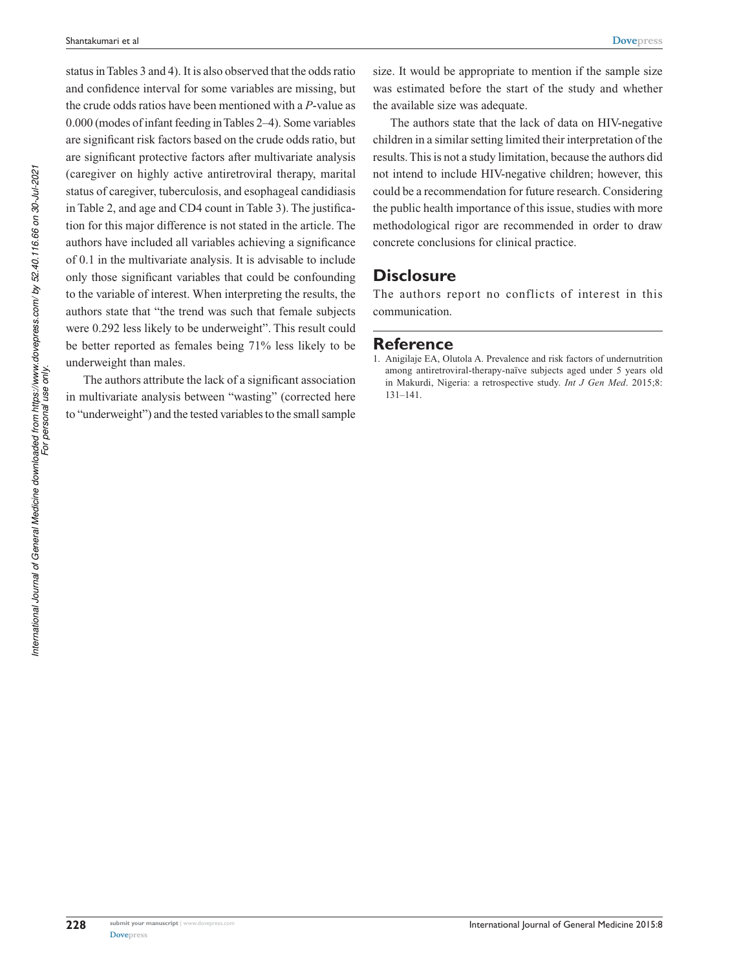**Dovepress**

status in Tables 3 and 4). It is also observed that the odds ratio and confidence interval for some variables are missing, but the crude odds ratios have been mentioned with a *P*-value as 0.000 (modes of infant feeding in Tables 2–4). Some variables are significant risk factors based on the crude odds ratio, but are significant protective factors after multivariate analysis (caregiver on highly active antiretroviral therapy, marital status of caregiver, tuberculosis, and esophageal candidiasis in Table 2, and age and CD4 count in Table 3). The justification for this major difference is not stated in the article. The authors have included all variables achieving a significance of 0.1 in the multivariate analysis. It is advisable to include only those significant variables that could be confounding to the variable of interest. When interpreting the results, the authors state that "the trend was such that female subjects were 0.292 less likely to be underweight". This result could be better reported as females being 71% less likely to be underweight than males.

The authors attribute the lack of a significant association in multivariate analysis between "wasting" (corrected here to "underweight") and the tested variables to the small sample size. It would be appropriate to mention if the sample size was estimated before the start of the study and whether the available size was adequate.

The authors state that the lack of data on HIV-negative children in a similar setting limited their interpretation of the results. This is not a study limitation, because the authors did not intend to include HIV-negative children; however, this could be a recommendation for future research. Considering the public health importance of this issue, studies with more methodological rigor are recommended in order to draw concrete conclusions for clinical practice.

# **Disclosure**

The authors report no conflicts of interest in this communication.

#### **Reference**

1. Anigilaje EA, Olutola A. Prevalence and risk factors of undernutrition among antiretroviral-therapy-naïve subjects aged under 5 years old in Makurdi, Nigeria: a retrospective study. *Int J Gen Med*. 2015;8: 131–141.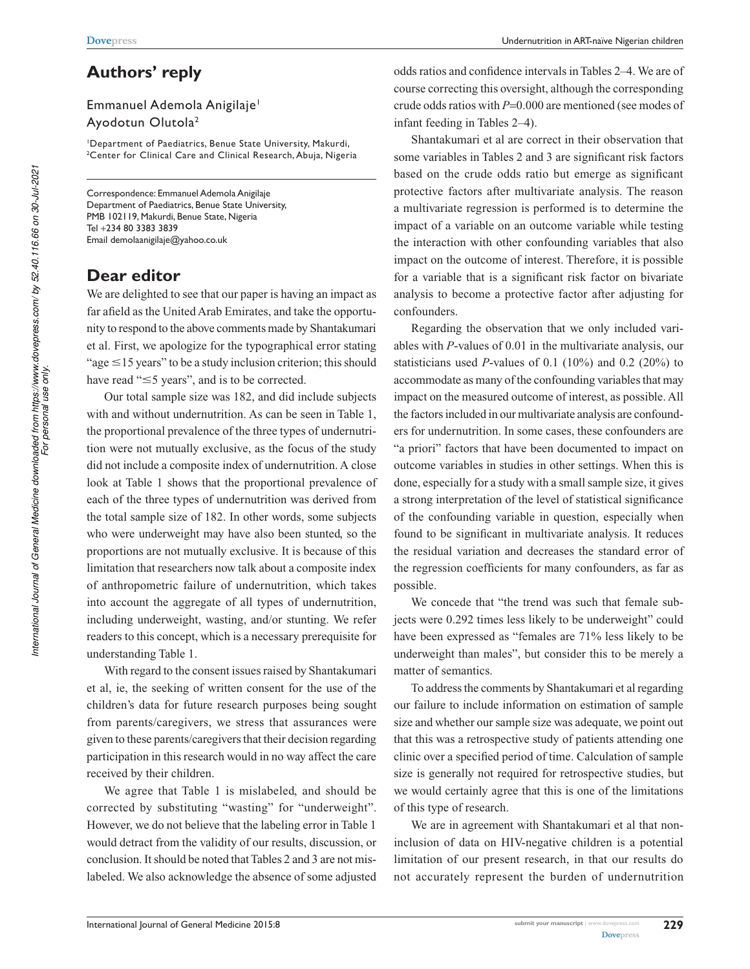# **Authors' reply**

## Emmanuel Ademola Anigilaje<sup>1</sup> Ayodotun Olutola<sup>2</sup>

<sup>1</sup>Department of Paediatrics, Benue State University, Makurdi, <sup>2</sup>Center for Clinical Care and Clinical Research, Abuja, Nigeria

Correspondence: Emmanuel Ademola Anigilaje Department of Paediatrics, Benue State University, PMB 102119, Makurdi, Benue State, Nigeria tel +234 80 3383 3839 email demolaanigilaje@yahoo.co.uk

# **Dear editor**

We are delighted to see that our paper is having an impact as far afield as the United Arab Emirates, and take the opportunity to respond to the above comments made by Shantakumari et al. First, we apologize for the typographical error stating "age  $\leq$ 15 years" to be a study inclusion criterion; this should have read " $\leq$ 5 years", and is to be corrected.

Our total sample size was 182, and did include subjects with and without undernutrition. As can be seen in Table 1, the proportional prevalence of the three types of undernutrition were not mutually exclusive, as the focus of the study did not include a composite index of undernutrition. A close look at Table 1 shows that the proportional prevalence of each of the three types of undernutrition was derived from the total sample size of 182. In other words, some subjects who were underweight may have also been stunted, so the proportions are not mutually exclusive. It is because of this limitation that researchers now talk about a composite index of anthropometric failure of undernutrition, which takes into account the aggregate of all types of undernutrition, including underweight, wasting, and/or stunting. We refer readers to this concept, which is a necessary prerequisite for understanding Table 1.

With regard to the consent issues raised by Shantakumari et al, ie, the seeking of written consent for the use of the children's data for future research purposes being sought from parents/caregivers, we stress that assurances were given to these parents/caregivers that their decision regarding participation in this research would in no way affect the care received by their children.

We agree that Table 1 is mislabeled, and should be corrected by substituting "wasting" for "underweight". However, we do not believe that the labeling error in Table 1 would detract from the validity of our results, discussion, or conclusion. It should be noted that Tables 2 and 3 are not mislabeled. We also acknowledge the absence of some adjusted odds ratios and confidence intervals in Tables 2–4. We are of course correcting this oversight, although the corresponding crude odds ratios with *P*=0.000 are mentioned (see modes of infant feeding in Tables 2–4).

Shantakumari et al are correct in their observation that some variables in Tables 2 and 3 are significant risk factors based on the crude odds ratio but emerge as significant protective factors after multivariate analysis. The reason a multivariate regression is performed is to determine the impact of a variable on an outcome variable while testing the interaction with other confounding variables that also impact on the outcome of interest. Therefore, it is possible for a variable that is a significant risk factor on bivariate analysis to become a protective factor after adjusting for confounders.

Regarding the observation that we only included variables with *P*-values of 0.01 in the multivariate analysis, our statisticians used *P*-values of 0.1 (10%) and 0.2 (20%) to accommodate as many of the confounding variables that may impact on the measured outcome of interest, as possible. All the factors included in our multivariate analysis are confounders for undernutrition. In some cases, these confounders are "a priori" factors that have been documented to impact on outcome variables in studies in other settings. When this is done, especially for a study with a small sample size, it gives a strong interpretation of the level of statistical significance of the confounding variable in question, especially when found to be significant in multivariate analysis. It reduces the residual variation and decreases the standard error of the regression coefficients for many confounders, as far as possible.

We concede that "the trend was such that female subjects were 0.292 times less likely to be underweight" could have been expressed as "females are 71% less likely to be underweight than males", but consider this to be merely a matter of semantics.

To address the comments by Shantakumari et al regarding our failure to include information on estimation of sample size and whether our sample size was adequate, we point out that this was a retrospective study of patients attending one clinic over a specified period of time. Calculation of sample size is generally not required for retrospective studies, but we would certainly agree that this is one of the limitations of this type of research.

We are in agreement with Shantakumari et al that noninclusion of data on HIV-negative children is a potential limitation of our present research, in that our results do not accurately represent the burden of undernutrition